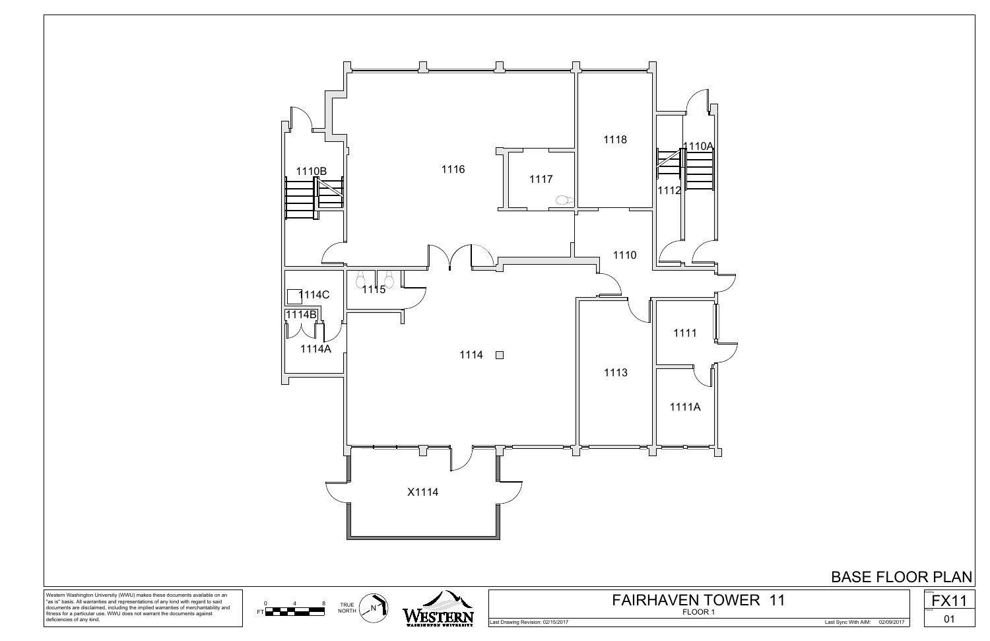

Western Washington University (WWU) makes these documents available on an "as is" basis. All warranties and representations of any kind with regard to said documents are disclaimed, including the implied warranties of merchantability and fitness for a particular use. WWU does not warrant the documents against deficiencies of any kind.



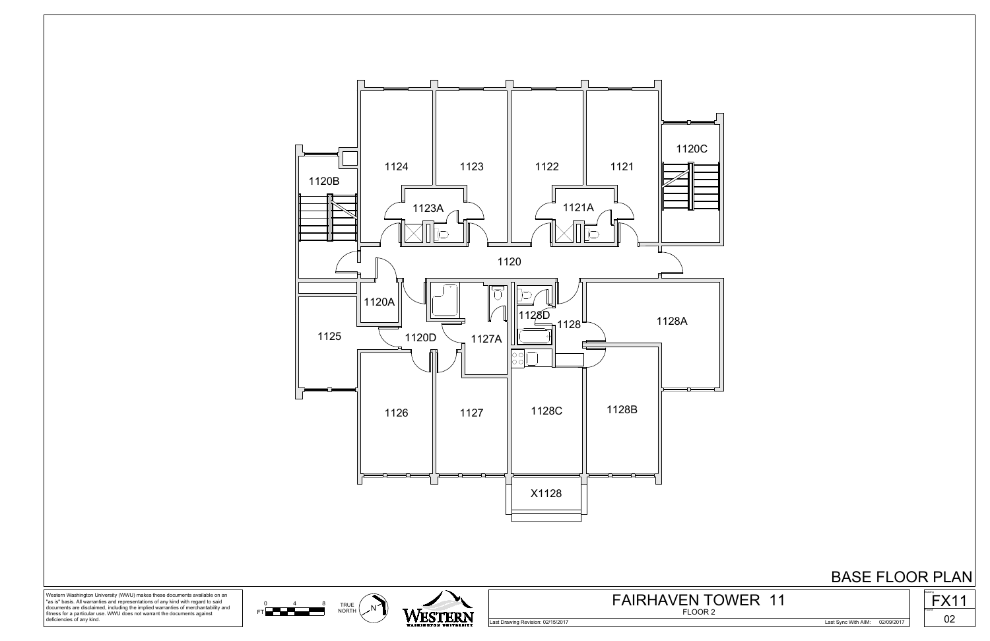



 $0$  4 8 TRUE  $\left($  N

 $FT$   $\rightarrow$   $\rightarrow$ 



Western Washington University (WWU) makes these documents available on an "as is" basis. All warranties and representations of any kind with regard to said documents are disclaimed, including the implied warranties of merchantability and fitness for a particular use. WWU does not warrant the documents against deficiencies of any kind.

Last Drawing Revision: 02/15/2017 Last Sync With AIM: 02/09/2017



## FLOOR 2 FAIRHAVEN TOWER 11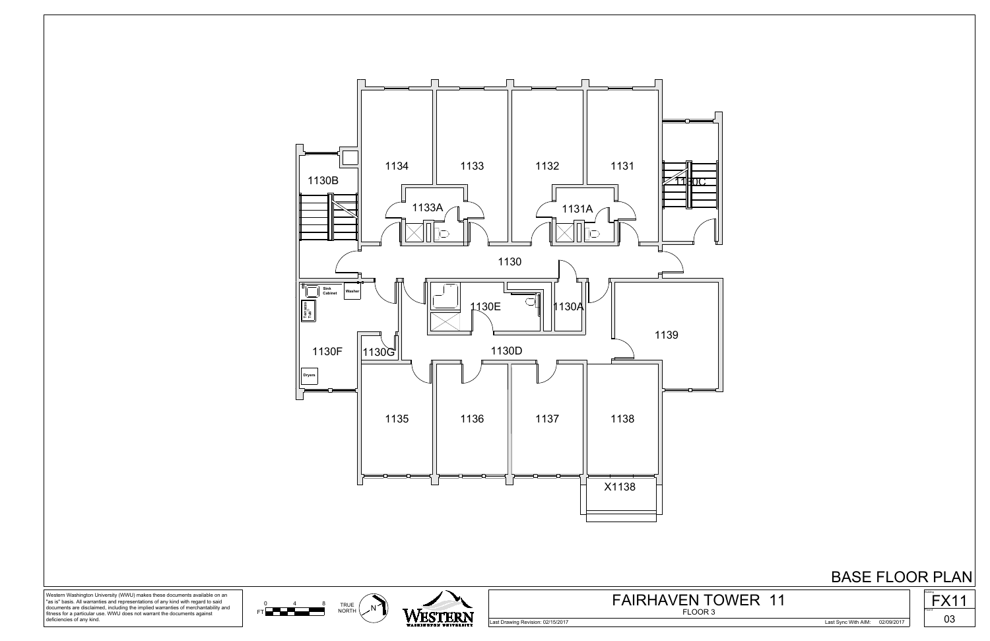

Western Washington University (WWU) makes these documents available on an "as is" basis. All warranties and representations of any kind with regard to said documents are disclaimed, including the implied warranties of merchantability and fitness for a particular use. WWU does not warrant the documents against deficiencies of any kind.

Last Drawing Revision: 02/15/2017 Last Sync With AIM: 02/09/2017

<sup>N'</sup> WESTERN

 $0$  4 8 TRUE  $\left($  N

 $FT$